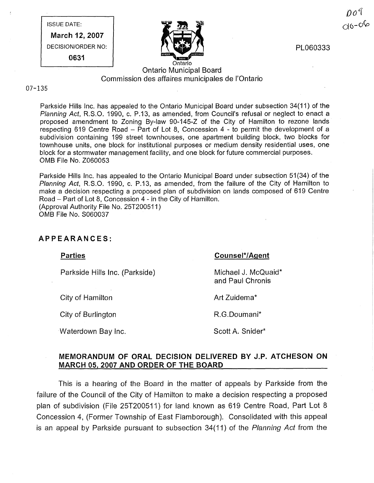ISSUE DATE: March 12, 2007

DECISION/ORDER NO: 0631



PL060333

# Ontario Municipal Board Commission des affaires municipales de I'Ontario

#### 07-135

Parkside Hills Inc. has appealed to the Ontario Municipal Board under subsection 34(11) of the Planning Act, R.S.O. 1990, c. P.13, as amended, from Council's refusal or neglect to enact a proposed amendment to Zoning By-law 90-145-Z of the City of Hamilton to rezone lands respecting 619 Centre Road - Part of Lot 8, Concession 4 - to permit the development of a subdivision containing 199 street townhouses, one apartment building block, two blocks for townhouse units, one block for institutional purposes or medium density residential uses, one block for a stormwater management facility, and one block for future commercial purposes. OMB File No. Z060053

Parkside Hills Inc. has appealed to the Ontario Municipal Board under subsection 51(34) of the Planning Act, R.S.O. 1990, c. P.13, as amended, from the failure of the City of Hamilton to make a decision respecting a proposed plan of subdivision on lands composed of 619 Centre Road - Part of Lot 8, Concession 4 - in the City of Hamilton. (Approval Authority File No. 25T200511 ) OMB File No. S060037

## APPEARANCES:

Parties

#### Counsel\*/Aqent

Parkside Hills Inc. (Parkside)

City of Hamilton

City of Burlington

Waterdown Bay Inc.

Michael J. McQuaid\* and Paul Chronis

Art Zuidema\*

R.G.Doumani\*

Scott A. Snider\*

# MEMORANDUM OF ORAL DECISION DELIVERED BY J.P. ATCHESON ON MARCH 05, 2007 AND ORDER OF THE BOARD

This is a hearing of the Board in the matter of appeals by Parkside from the failure of the Council of the City of Hamilton to make a decision respecting a proposed plan of subdivision (File 25T200511) for land known as 619 Centre Road, Part Lot 8 Concession 4, (Former Township of East Flamborough). Consolidated with this appeal is an appeal by Parkside pursuant to subsection 34(11) of the Planning Act from the

 $\textit{Do} \, \texttt{q}$  $00 - 06$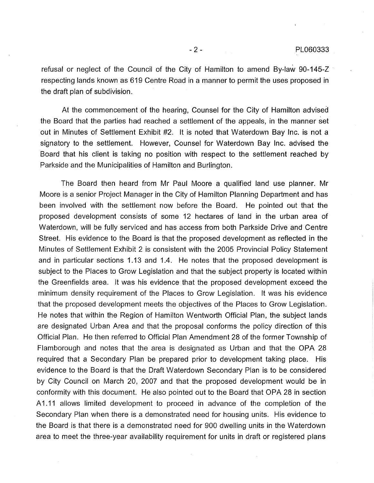refusal or neglect of the Council of the City of Hamilton to amend By-law 90-145-Z respecting lands known as 619 Centre Road in a manner to permit the uses proposed in the draft plan of subdivision.

At the commencement of the hearing, Counsel for the City of Hamilton advised the Board that the parties had reached a settlement of the appeals, in the manner Set out in Minutes of Settlement Exhibit #2. It is noted that Waterdown Bay Inc. is not a signatory to the settlement. However, Counsel for Waterdown Bay Inc. advised the Board that his client is taking no position with respect to the settlement reached by Parkside and the Municipalities of Hamilton and Burlington.

The Board then heard from Mr Paul Moore a qualified land use planner. Mr Moore is a senior Project Manager in the City of Hamilton Planning Department and has been involved with the settlement now before the Board. He pointed out that the proposed development consists of some 12 hectares of land in the urban area of Waterdown, will be fully serviced and has access from both Parkside Drive and Centre Street. His evidence to the Board is that the proposed development as reflected in the Minutes of Settlement Exhibit 2 is consistent with the 2005 Provincial Policy Statement and in particular sections 1.13 and 1.4. He notes that the proposed development is subject to the Places to Grow Legislation and that the subject property is located within the Greenfields area. It was his evidence that the proposed development exceed the minimum density requirement of the Places to Grow Legislation. It was his evidence that the proposed development meets the objectives of the Places to Grow Legislation. He notes that within the Region of Hamilton Wentworth Official Plan, the subject lands are designated Urban Area and that the proposal conforms the policy direction of this Official Plan. He then referred to Official Plan Amendment 28 of the former Township of Flamborough and notes that the area is designated as Urban and that the OPA 28 required that a Secondary Plan be prepared prior to development taking place. His evidence to the Board is that the Draft Waterdown Secondary Plan is to be considered by City Council on March 20, 2007 and that the proposed development would be in conformity with this document. He also pointed out to the Board that OPA 28 in section A1.11 allows limited development to proceed in advance of the completion of the Secondary Plan when there is a demonstrated need for housing units. His evidence to the Board is that there is a demonstrated need for 900 dwelling units in the Waterdown area to meet the three-year availability requirement for units in draft or registered plans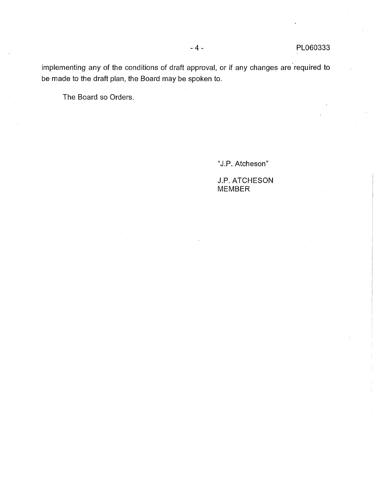implementing any of the conditions of draft approval, or if any changes are required to be made to the draft plan, the Board may be spoken to.

The Board so Orders.

"J.P. Atcheson"

J.P. ATCHESON MEMBER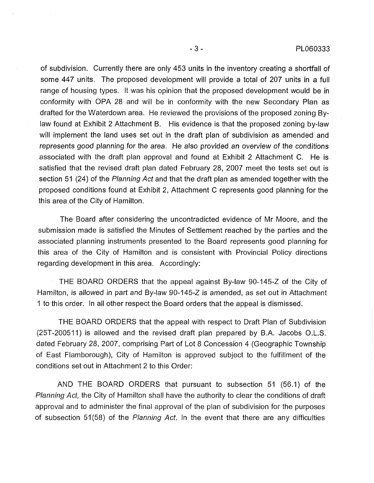of subdivision. Currently there are only 453 units in the inventory creating a shortfall of some 447 units. The proposed development will provide a total of 207 units in a full range of housing types. It was his opinion that the proposed development would be in conformity with OPA 28 and will be in conformity with the new Secondary Plan as drafted for the Waterdown area. He reviewed the provisions of the proposed zoning Bylaw found at Exhibit 2 Attachment B. His evidence is that the proposed zoning by-law will implement the land uses set out in the draft plan of subdivision as amended and represents good planning for the area. He also provided an overview of the conditions associated with the draft plan approval and found at Exhibit 2 Attachment C. He is satisfied that the revised draft plan dated February 28, 2007 meet the tests set out is section 51 (24) of the Planning Act and that the draft plan as amended together with the proposed conditions found at Exhibit 2, Attachment C represents good planning for the this area of the City of Hamilton.

The Board after considering the uncontradicted evidence of Mr Moore, and the submission made is satisfied the Minutes of Settlement reached by the parties and the associated planning instruments presented to the Board represents good planning for this area of the City of Hamilton and is consistent with Provincial Policy directions regarding development in this area. Accordingly:

THE BOARD ORDERS that the appeal against By-law 90-145-Z of the City of Hamilton, is allowed in part and By-law 90-145-Z is amended, as set out in Attachment 1 to this order. In all other respect the Board orders that the appeal is dismissed.

THE BOARD ORDERS that the appeal with respect to Draft Plan of Subdivision (25T-200511) is allowed and the revised draft plan prepared by B.A. Jacobs O.L.S. dated February 28, 2007, comprising Part of Lot 8 Concession 4 (Geographic Township of East Flamborough), City of Hamilton is approved subject to the fulfillment of the conditions set out in Attachment 2 to this Order:

AND THE BOARD ORDERS that pursuant to subsection 51 (56.1) of the Planning Act, the City of Hamilton shall have the authority to clear the conditions of draft approval and to administer the final approval of the plan of subdivision for the purposes of subsection 51(58) of the Planning Act. In the event that there are any difficulties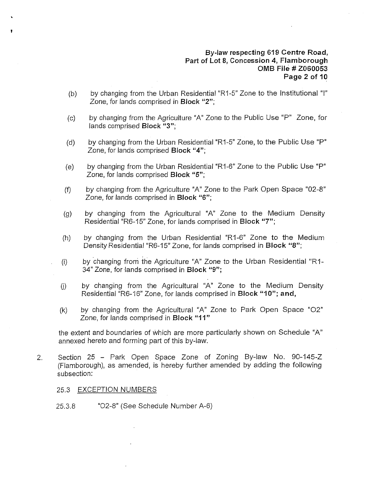## By-law respecting 619 Centre Road, Part of Lot 8, Concession 4, Flamborough OMB File # Z060053 Page 2 of 10

- (b) by changing from the Urban Residential "R1-5" Zone to the Institutional "1" Zone, for lands comprised in Block "2";
- (c) by changing from the Agriculture "A" Zone to the Public Use "P" Zone, for lands comprised Block "3";
- (d) by changing from the Urban Residential "R1-5" Zone, to the Public Use "P" Zone, for lands comprised Block "4";
- (e) by changing from the Urban Residential "R1-6" Zone to the Public Use "P" Zone, for lands comprised Block "5";
- $(f)$ by changing from the Agriculture "A" Zone to the Park Open Space "02-8" Zone, for lands comprised in Block "6";
- (g) by changing from the Agricultural "A" Zone to the Medium Density Residential "R6-15" Zone, for lands comprised in Block "7";
- (h) by changing from the Urban Residential "RI-6" Zone to the Medium Density Residential "R6-15" Zone, for lands comprised in Block "8";
- (i) by changing from the Agriculture "A" Zone to the Urban Residential "R1-34" Zone, for lands comprised in Block "9";
- (j) by changing from the Agricultural "A" Zone to the Medium Density Residential "R6-16" Zone, for lands comprised in Block "10"; and,
- (k) by changing from the Agricultural "A" Zone to Park Open Space "02" Zone, for lands comprised in Block "11"

the extent and boundaries of Which are more particularly shown on Schedule "A" annexed hereto and forming part of this by-law.

2. Section 25- Park Open Space Zone of Zoning By-law No. 90-145-Z (Flamborough), as amended, is hereby further amended by adding the following subsection:

#### 25.3 EXCEPTION NUMBERS

25.3.8 "02-8" (See Schedule Number A-6)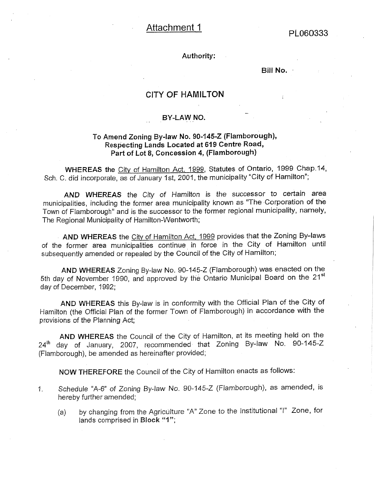# Attachment 1 PL060333

### Authority:

Bill No.

# CITY OF HAMILTON

# BY-LAW NO.

## To Amend Zoning By-law No. 90-145-Z (Flamborough), Respecting Lands Located at 619 Centre Road, Part of Lot 8, Concession 4, (Flamborough)

WHEREAS the City of Hamilton Act. 1999, Statutes of Ontario, 1999 Chap.14, Sch. C. did incorporate, as of January 1st, 2001, the municipality "City of Hamilton";

AND WHEREAS the City of Hamilton is the successor to certain area municipalities, including the former area municipality known as "The .Corporation of the Town of Flamborough" and is the successor to the former regional municipality, namely, The Regional Municipality of Hamilton-Wentworth;

AND WHEREAS the City of Hamilton Act, 1999 provides that the Zoning By-laws of the former area municipalities continue in force in the City of Hamilton until subsequently amended or repealed by the Council of the City of Hamilton;

AND WHEREAS Zoning By-law No. 90-145-Z (Flamborough) was enacted on the 5th day of November 1990, and approved by the Ontario Municipal Board on the 21st day of December, 1992;

AND WHEREAS this By-law is in conformity with the Official Plan of the City of Hamilton (the Official Plan of the former Town of Flamborough) in accordance with the provisions of the Planning Act;

AND WHEREAS the Council of the City of Hamilton, at its meeting held on the 24<sup>th</sup> day of January, 2007, recommended that Zoning By-law No. 90-145-Z (Flamborough), be amended as hereinafter provided;

NOW THEREFORE the Council of the City of Hamilton enacts as follows:

- 1, Schedule "A-6" of Zoning By-law No. 90-145-Z (Flamborough), as amended, is hereby further amended;
	- (a) by changing from the Agriculture "A" Zone to the Institutional "1" Zone, for lands comprised in Block "1";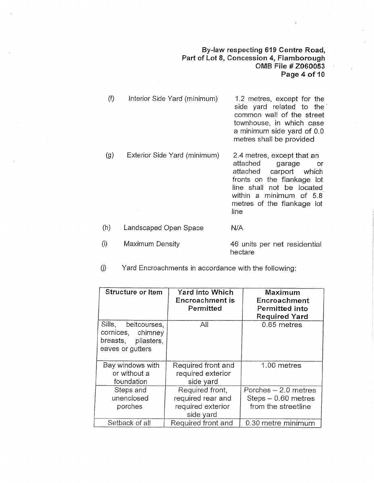## By-law respecting 619 Centre Road, Part of Lot 8, Concession 4, Flamborough OMB File # Z060053 Page 4 of 10

line shall not be located within a minimum of 5.8

| (f) | Interior Side Yard (minimum) | 1.2 metres, except for the<br>side yard related to the<br>common wall of the street<br>townhouse, in which case<br>a minimum side yard of 0.0<br>metres shall be provided |
|-----|------------------------------|---------------------------------------------------------------------------------------------------------------------------------------------------------------------------|
| (g) | Exterior Side Yard (minimum) | 2.4 metres, except that an<br>attached<br>garage<br>or<br>attached carport which<br>fronts on the flankage lot                                                            |

metres of the flankage lot line Landscaped Open Space N/A

- $(i)$ Maximum Density 46 units per net residential hectare
- (J) Yard Encroachments in accordance with the following:

(h)

| Structure or Item                                                                      | <b>Yard Into Which</b><br><b>Encroachment is</b><br>Permitted          | <b>Maximum</b><br>Encroachment<br>Permitted into<br><b>Required Yard</b> |
|----------------------------------------------------------------------------------------|------------------------------------------------------------------------|--------------------------------------------------------------------------|
| Sills,<br>beltcourses,<br>cornices, chimney<br>breasts, pilasters,<br>eaves or gutters | All                                                                    | 0.65 metres                                                              |
| Bay windows with<br>or without a<br>foundation                                         | Required front and<br>required exterior<br>side yard                   | 1.00 metres                                                              |
| Steps and<br>unenclosed<br>porches                                                     | Required front,<br>required rear and<br>required exterior<br>side yard | Porches $-2.0$ metres<br>$Steps - 0.60$ metres<br>from the streetline    |
| Setback of all                                                                         | Required front and                                                     | 0.30 metre minimum                                                       |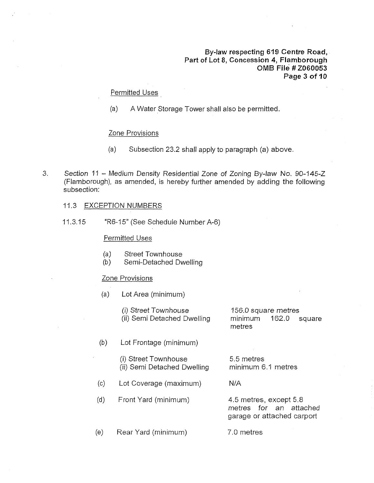## By-law respecting 619 Centre Road, Part of Lot 8, Concession 4, Flamborough OMB File # Z060053 Page 3 of 10

#### Permitted Uses

(a) A Water Storage Tower shall also be permitted.

#### Zone Provisions

- (a) Subsection 23.2 shall apply to paragraph (a) above.
- . Section 11 Medium Density Residential Zone of Zoning By-law No. 90-145-Z (Flamborough), as amended, is hereby further amended by adding the following subsection:

#### 11.3 EXCEPTION NUMBERS

11,3.15 "R6-15" (See Schedule Number A-6)

#### Permitted Uses

- (a) Street Townhouse
- (b) Semi-Detached Dwelling

#### Zone Provisions

(a) Lot Area (minimum)

(i) Street Townhouse (ii) Semi Detached Dwelling

156.0 square metres minimum 162.0 square metres

- (b) Lot Frontage (minimum)
	- (i) Street Townhouse (ii) Semi Detached Dwelling
- (c) Lot Coverage (maximum) N/A
- (d) Front Yard (minimum) 4.5 metres, except 5.8

5.5 metres minimum 6.1 metres

metres for an attached garage or attached carport

(e) Rear Yard (minimum) 7.0 metres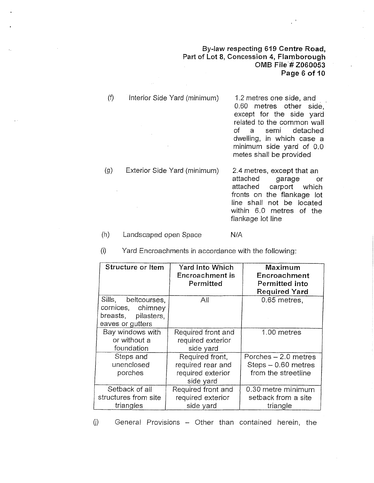## By-law respecting 619 Centre Road, Part of Lot 8, Concession 4, Flamborough OMB File'# Z060053 Page 6 of 10

- $(1)$  Interior Side Yard (minimum) 1.2 metres one side, and 0.60 metres other side, except for the side yard related to the common wall of a semi detached dwelling, in which case a minimum side yard of 0.0 metes shall be provided (g) Exterior Side Yard (minimum) 2.4 metres, except that an attached garage or
	- attached carport which  $\mathcal{L}_{\text{max}}$ fronts on the flankage lot line shall not be located within 6.0 metres of the flankage lot line
- (h) Landscaped open Space N/A

(i) Yard Encroachments in accordance with the following:

| Structure or Item                                                                   | <b>Yard Into Which</b><br><b>Encroachment is</b><br>Permitted          | <b>Maximum</b><br>Encroachment<br><b>Permitted into</b><br><b>Required Yard</b> |
|-------------------------------------------------------------------------------------|------------------------------------------------------------------------|---------------------------------------------------------------------------------|
| Sills, beltcourses,<br>cornices, chimney<br>breasts, pilasters,<br>eaves or gutters | All                                                                    | 0.65 metres,                                                                    |
| Bay windows with<br>or without a<br>foundation                                      | Required front and<br>required exterior<br>side yard                   | 1.00 metres                                                                     |
| Steps and<br>unenclosed<br>porches                                                  | Required front,<br>required rear and<br>required exterior<br>side yard | Porches - 2.0 metres<br>$Steps - 0.60$ metres<br>from the streetline            |
| Setback of all<br>structures from site<br>triangles                                 | Required front and<br>required exterior<br>side yard                   | 0.30 metre minimum<br>setback from a site<br>triangle                           |

(j) General Provisions - Other than contained herein, the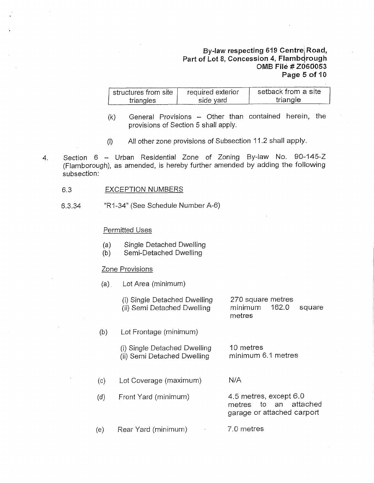## By-law respecting 619 Centre Road, Part of Lot 8, Concession 4, Flamborough OMB File # Z060053 Page 5 of 10

| structures from site | required exterior | setback from a site |
|----------------------|-------------------|---------------------|
| triangles            | side vard         | triangle            |

- $(k)$  General Provisions Other than contained herein, the provisions of Section 5 shall apply.
- (I) All other zone provisions of Subsection 11.2 shall apply.
- $\overline{4}$ . Section 6 - Urban Residential Zone of Zoning By-law No. 90-145-Z (Flamborough), as amended, is hereby further amended by adding the following subsection:
	- 6.3 EXCEPTION NUMBERS
	- 6.3.34 "R1-34" (See Schedule Number A-6)

## Permitted Uses

- (a) Single Detached Dwelling
- (b) Semi-Detached Dwelling

#### Zone Provisions

(a) Lot Area (minimum)

(i) Single Detached Dwelling (ii) Semi Detached Dwelling

270 square metres minimum 162.0 metres square

Lot Frontage (minimum) (b)

> (i) Single Detached Dwelling (ii) Semi Detached Dwelling

10 metres minimum 6.1 metres

- $(c)$ (d) Lot Coverage (maximum) Front Yard (minimum) N/A
	- 4.5 metres, except 6.0 metres to an attached garage or attached carport
- (e) Rear Yard (minimum) 7.0 metres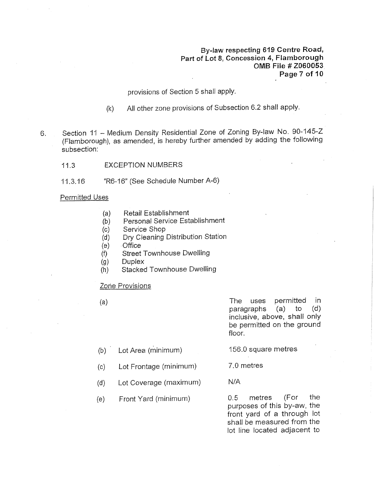By-law respecting 619 Centre Road, Part of Lot 8, Concession 4, Flamborough OMB File # Z060053 Page 7 of 10

provisions of Section 5 shall apply.

- (k) All other zone provisions of Subsection 6.2 shall apply.
- 6. Section 11 Medium Density Residential Zone of Zoning By-law No. 90-145-Z (Flamborough), as amended, is hereby further amended by adding the following subsection:
	- 11.3 EXCEPTION NUMBERS
	- 11.3.16 "R6-t6" (See Schedule Number A-6)

#### Permitted Uses

- (a) Retail Establishment
- (b) Personal Service Establishment
- (c) Service Shop
- (d) Dry Cleaning Distribution Station
- (e) **Office**
- $(f)$ Street Townhouse Dwelling
- (g) **Duplex**
- (h) Stacked Townhouse Dwelling

#### Zone Provisions

(a) The uses permitted in paragraphs (a) to (d) inclusive, above, shall only be permitted on the ground floor.

- (b) Lot Area (minimum) 156.0 square metres
- (c) Lot Frontage (minimum) 7.0 metres
- (d) Lot Coverage (maximum)
- (e) Front Yard (minimum)

0.5 metres (For the purposes of this by-aw, the front yard of a through lot shall be measured from the lot line located adjacent to

N/A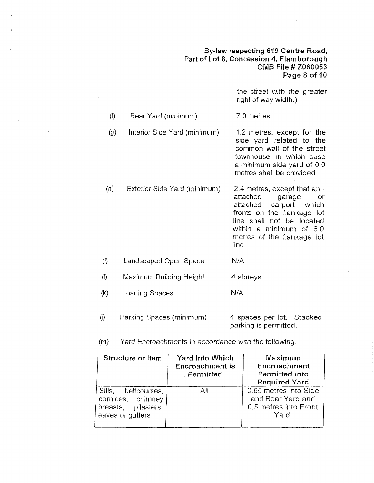## By-law respecting 619 Centre Road, Part of Lot 8, Concession 4, Flamborough OMB File # Z060053 Page 8 of 10

parking is permitted.

|                     |                              | the street with the greater<br>right of way width.)                                                                                                                                                                        |
|---------------------|------------------------------|----------------------------------------------------------------------------------------------------------------------------------------------------------------------------------------------------------------------------|
| (f)                 | Rear Yard (minimum)          | 7.0 metres                                                                                                                                                                                                                 |
| (g)                 | Interior Side Yard (minimum) | 1.2 metres, except for the<br>side yard related to the<br>common wall of the street<br>townhouse, in which case<br>a minimum side yard of 0.0<br>metres shall be provided                                                  |
| (h)                 | Exterior Side Yard (minimum) | 2.4 metres, except that an $\cdot$<br>attached<br>garage<br>or<br>carport<br>attached<br>which<br>fronts on the flankage lot<br>line shall not be located<br>within a minimum of 6.0<br>metres of the flankage lot<br>line |
| $\langle i \rangle$ | Landscaped Open Space        | N/A                                                                                                                                                                                                                        |
| $\langle j \rangle$ | Maximum Building Height      | 4 storeys                                                                                                                                                                                                                  |
| (k)                 | Loading Spaces               | N/A                                                                                                                                                                                                                        |
| $\langle 0 \rangle$ | Parking Spaces (minimum)     | Stacked<br>4 spaces per lot.                                                                                                                                                                                               |

(m) Yard Encroachments in accordance with the following:

| Structure or Item                                                                   | <b>Yard Into Which</b><br><b>Encroachment is</b><br>Permitted | Maximum<br>Encroachment<br>Permitted into<br><b>Required Yard</b>           |
|-------------------------------------------------------------------------------------|---------------------------------------------------------------|-----------------------------------------------------------------------------|
| Sills, beltcourses,<br>cornices, chimney<br>breasts, pilasters,<br>eaves or gutters | All                                                           | 0.65 metres into Side<br>and Rear Yard and<br>0.5 metres into Front<br>Yard |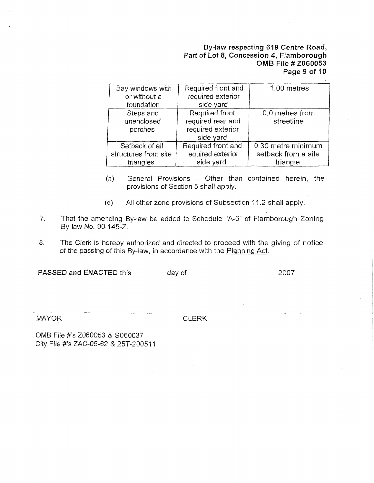## By-law respecting 619 Centre Road, Part of Lot 8, Concession 4, Flamborough OMB File # Z060053 Page 9 of 10

| Bay windows with<br>or without a<br>foundation      | Required front and<br>required exterior<br>side yard                   | 1.00 metres                                           |
|-----------------------------------------------------|------------------------------------------------------------------------|-------------------------------------------------------|
| Steps and<br>unenclosed<br>porches                  | Required front,<br>required rear and<br>required exterior<br>side yard | 0.0 metres from<br>streetline                         |
| Setback of all<br>structures from site<br>triangles | Required front and<br>required exterior<br>side yard                   | 0.30 metre minimum<br>setback from a site<br>triangle |

- $(n)$  General Provisions  $-$  Other than contained herein, the provisions of Section 5 shall apply.
- (o) All other zone provisions of Subsection 11.2 shall apply.
- , That the amending By-law be added to Schedule "A-6" of Flamborough Zoning By-law No. 90-145-Z.
- 8. The Clerk is hereby authorized and directed to proceed with the giving of notice of the passing of this By-law, in accordance with the Planning Act.

PASSED and ENACTED this day of the contract of the set of the set of the set of the set of the set of the set of the set of the set of the set of the set of the set of the set of the set of the set of the set of the set of

MAYOR

**CLERK** 

OMB File #'s Z060053 & S060037 City File #'s ZAC-05-62 & 25T-200511